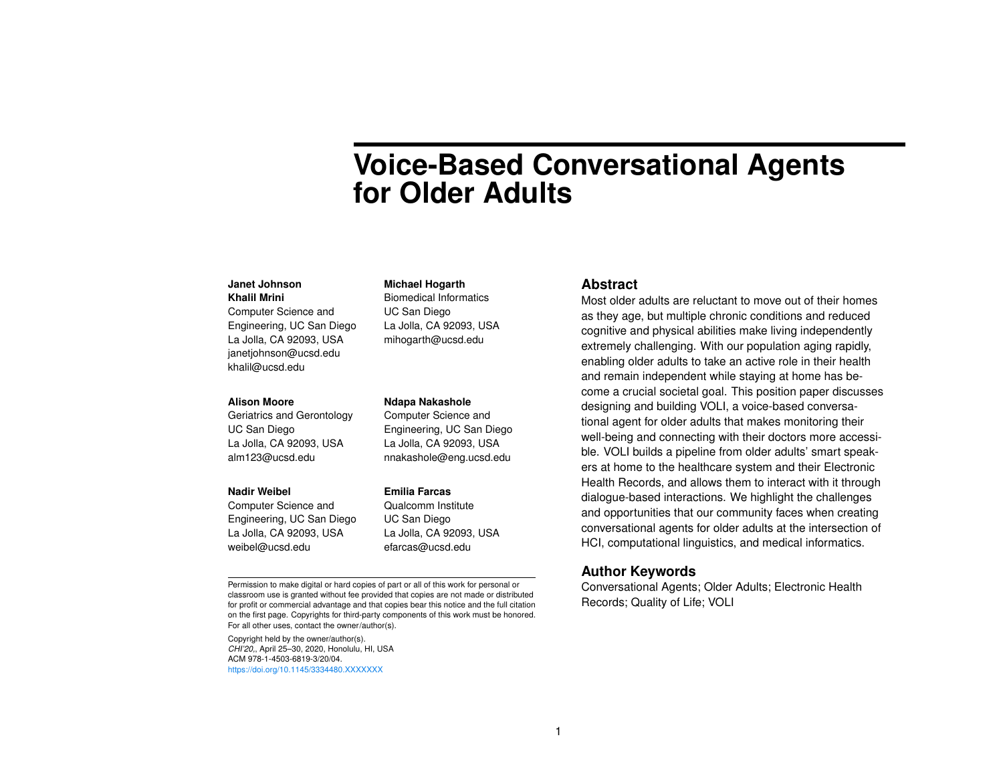# **Voice-Based Conversational Agents for Older Adults**

#### **Janet Johnson Khalil Mrini**

Computer Science and Engineering, UC San Diego La Jolla, CA 92093, USA janetjohnson@ucsd.edu khalil@ucsd.edu

#### **Alison Moore**

Geriatrics and Gerontology UC San Diego La Jolla, CA 92093, USA alm123@ucsd.edu

#### **Nadir Weibel**

Computer Science and Engineering, UC San Diego La Jolla, CA 92093, USA weibel@ucsd.edu

La Jolla, CA 92093, USA mihogarth@ucsd.edu

**Michael Hogarth** Biomedical Informatics UC San Diego

**Ndapa Nakashole** Computer Science and Engineering, UC San Diego La Jolla, CA 92093, USA nnakashole@eng.ucsd.edu

#### **Emilia Farcas**

Qualcomm Institute UC San Diego La Jolla, CA 92093, USA efarcas@ucsd.edu

Permission to make digital or hard copies of part or all of this work for personal or classroom use is granted without fee provided that copies are not made or distributed for profit or commercial advantage and that copies bear this notice and the full citation on the first page. Copyrights for third-party components of this work must be honored. For all other uses, contact the owner/author(s).

Copyright held by the owner/author(s). *CHI'20,*, April 25–30, 2020, Honolulu, HI, USA ACM 978-1-4503-6819-3/20/04. <https://doi.org/10.1145/3334480.XXXXXXX>

### **Abstract**

Most older adults are reluctant to move out of their homes as they age, but multiple chronic conditions and reduced cognitive and physical abilities make living independently extremely challenging. With our population aging rapidly, enabling older adults to take an active role in their health and remain independent while staying at home has become a crucial societal goal. This position paper discusses designing and building VOLI, a voice-based conversational agent for older adults that makes monitoring their well-being and connecting with their doctors more accessible. VOLI builds a pipeline from older adults' smart speakers at home to the healthcare system and their Electronic Health Records, and allows them to interact with it through dialogue-based interactions. We highlight the challenges and opportunities that our community faces when creating conversational agents for older adults at the intersection of HCI, computational linguistics, and medical informatics.

# **Author Keywords**

Conversational Agents; Older Adults; Electronic Health Records; Quality of Life; VOLI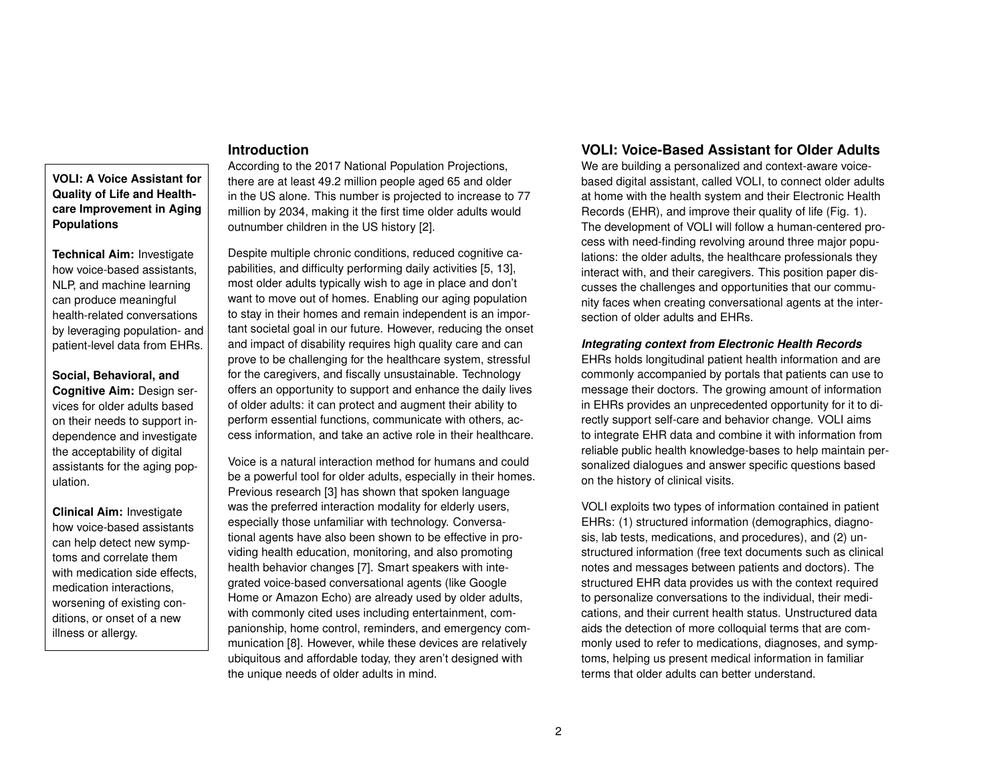# **Introduction**

**VOLI: A Voice Assistant for Quality of Life and Healthcare Improvement in Aging Populations**

**Technical Aim:** Investigate how voice-based assistants, NLP, and machine learning can produce meaningful health-related conversations by leveraging population- and patient-level data from EHRs.

**Social, Behavioral, and Cognitive Aim:** Design services for older adults based on their needs to support independence and investigate the acceptability of digital assistants for the aging population.

**Clinical Aim:** Investigate how voice-based assistants can help detect new symptoms and correlate them with medication side effects. medication interactions, worsening of existing conditions, or onset of a new illness or allergy.

# According to the 2017 National Population Projections, there are at least 49.2 million people aged 65 and older in the US alone. This number is projected to increase to 77 million by 2034, making it the first time older adults would outnumber children in the US history [\[2\]](#page-4-0).

Despite multiple chronic conditions, reduced cognitive capabilities, and difficulty performing daily activities [\[5,](#page-4-1) [13\]](#page-4-2), most older adults typically wish to age in place and don't want to move out of homes. Enabling our aging population to stay in their homes and remain independent is an important societal goal in our future. However, reducing the onset and impact of disability requires high quality care and can prove to be challenging for the healthcare system, stressful for the caregivers, and fiscally unsustainable. Technology offers an opportunity to support and enhance the daily lives of older adults: it can protect and augment their ability to perform essential functions, communicate with others, access information, and take an active role in their healthcare.

Voice is a natural interaction method for humans and could be a powerful tool for older adults, especially in their homes. Previous research [\[3\]](#page-4-3) has shown that spoken language was the preferred interaction modality for elderly users, especially those unfamiliar with technology. Conversational agents have also been shown to be effective in providing health education, monitoring, and also promoting health behavior changes [\[7\]](#page-4-4). Smart speakers with integrated voice-based conversational agents (like Google Home or Amazon Echo) are already used by older adults, with commonly cited uses including entertainment, companionship, home control, reminders, and emergency communication [\[8\]](#page-4-5). However, while these devices are relatively ubiquitous and affordable today, they aren't designed with the unique needs of older adults in mind.

# **VOLI: Voice-Based Assistant for Older Adults**

We are building a personalized and context-aware voicebased digital assistant, called VOLI, to connect older adults at home with the health system and their Electronic Health Records (EHR), and improve their quality of life (Fig. [1\)](#page-2-0). The development of VOLI will follow a human-centered process with need-finding revolving around three major populations: the older adults, the healthcare professionals they interact with, and their caregivers. This position paper discusses the challenges and opportunities that our community faces when creating conversational agents at the intersection of older adults and EHRs.

### *Integrating context from Electronic Health Records*

EHRs holds longitudinal patient health information and are commonly accompanied by portals that patients can use to message their doctors. The growing amount of information in EHRs provides an unprecedented opportunity for it to directly support self-care and behavior change. VOLI aims to integrate EHR data and combine it with information from reliable public health knowledge-bases to help maintain personalized dialogues and answer specific questions based on the history of clinical visits.

VOLI exploits two types of information contained in patient EHRs: (1) structured information (demographics, diagnosis, lab tests, medications, and procedures), and (2) unstructured information (free text documents such as clinical notes and messages between patients and doctors). The structured EHR data provides us with the context required to personalize conversations to the individual, their medications, and their current health status. Unstructured data aids the detection of more colloquial terms that are commonly used to refer to medications, diagnoses, and symptoms, helping us present medical information in familiar terms that older adults can better understand.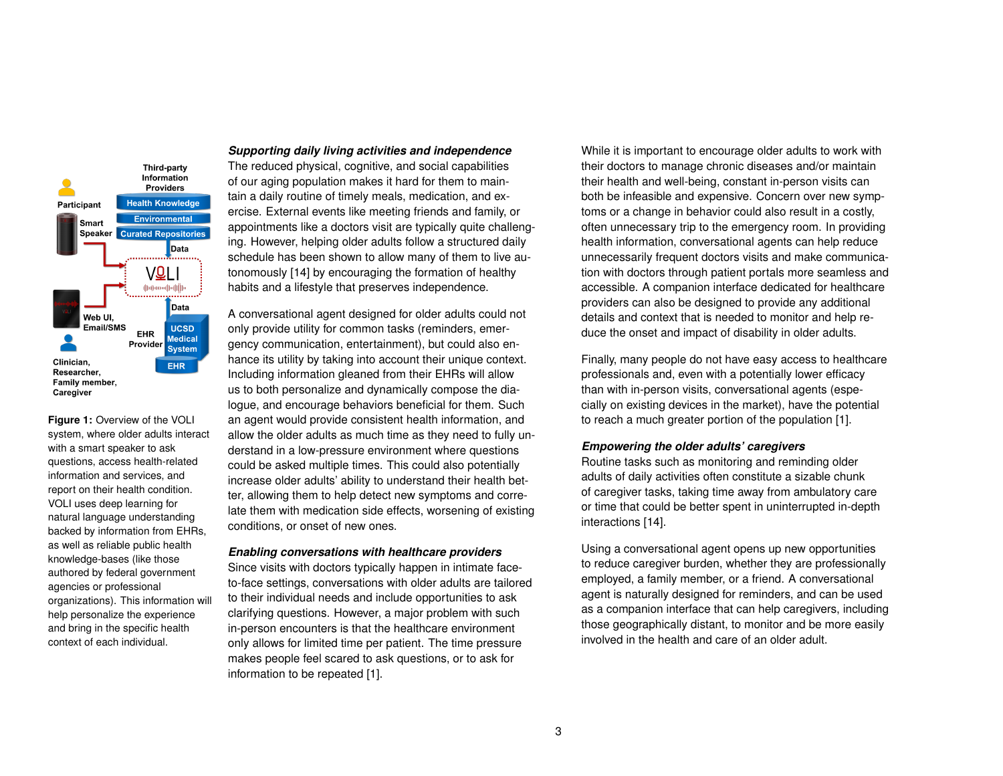

<span id="page-2-0"></span>**Figure 1:** Overview of the VOLI system, where older adults interact with a smart speaker to ask questions, access health-related information and services, and report on their health condition. VOLI uses deep learning for natural language understanding backed by information from EHRs, as well as reliable public health knowledge-bases (like those authored by federal government agencies or professional organizations). This information will help personalize the experience and bring in the specific health context of each individual.

*Supporting daily living activities and independence*

The reduced physical, cognitive, and social capabilities of our aging population makes it hard for them to maintain a daily routine of timely meals, medication, and exercise. External events like meeting friends and family, or appointments like a doctors visit are typically quite challenging. However, helping older adults follow a structured daily schedule has been shown to allow many of them to live autonomously [\[14\]](#page-4-6) by encouraging the formation of healthy habits and a lifestyle that preserves independence.

A conversational agent designed for older adults could not only provide utility for common tasks (reminders, emergency communication, entertainment), but could also enhance its utility by taking into account their unique context. Including information gleaned from their EHRs will allow us to both personalize and dynamically compose the dialogue, and encourage behaviors beneficial for them. Such an agent would provide consistent health information, and allow the older adults as much time as they need to fully understand in a low-pressure environment where questions could be asked multiple times. This could also potentially increase older adults' ability to understand their health better, allowing them to help detect new symptoms and correlate them with medication side effects, worsening of existing conditions, or onset of new ones.

#### *Enabling conversations with healthcare providers*

Since visits with doctors typically happen in intimate faceto-face settings, conversations with older adults are tailored to their individual needs and include opportunities to ask clarifying questions. However, a major problem with such in-person encounters is that the healthcare environment only allows for limited time per patient. The time pressure makes people feel scared to ask questions, or to ask for information to be repeated [\[1\]](#page-4-7).

While it is important to encourage older adults to work with their doctors to manage chronic diseases and/or maintain their health and well-being, constant in-person visits can both be infeasible and expensive. Concern over new symptoms or a change in behavior could also result in a costly, often unnecessary trip to the emergency room. In providing health information, conversational agents can help reduce unnecessarily frequent doctors visits and make communication with doctors through patient portals more seamless and accessible. A companion interface dedicated for healthcare providers can also be designed to provide any additional details and context that is needed to monitor and help reduce the onset and impact of disability in older adults.

Finally, many people do not have easy access to healthcare professionals and, even with a potentially lower efficacy than with in-person visits, conversational agents (especially on existing devices in the market), have the potential to reach a much greater portion of the population [\[1\]](#page-4-7).

#### *Empowering the older adults' caregivers*

Routine tasks such as monitoring and reminding older adults of daily activities often constitute a sizable chunk of caregiver tasks, taking time away from ambulatory care or time that could be better spent in uninterrupted in-depth interactions [\[14\]](#page-4-6).

Using a conversational agent opens up new opportunities to reduce caregiver burden, whether they are professionally employed, a family member, or a friend. A conversational agent is naturally designed for reminders, and can be used as a companion interface that can help caregivers, including those geographically distant, to monitor and be more easily involved in the health and care of an older adult.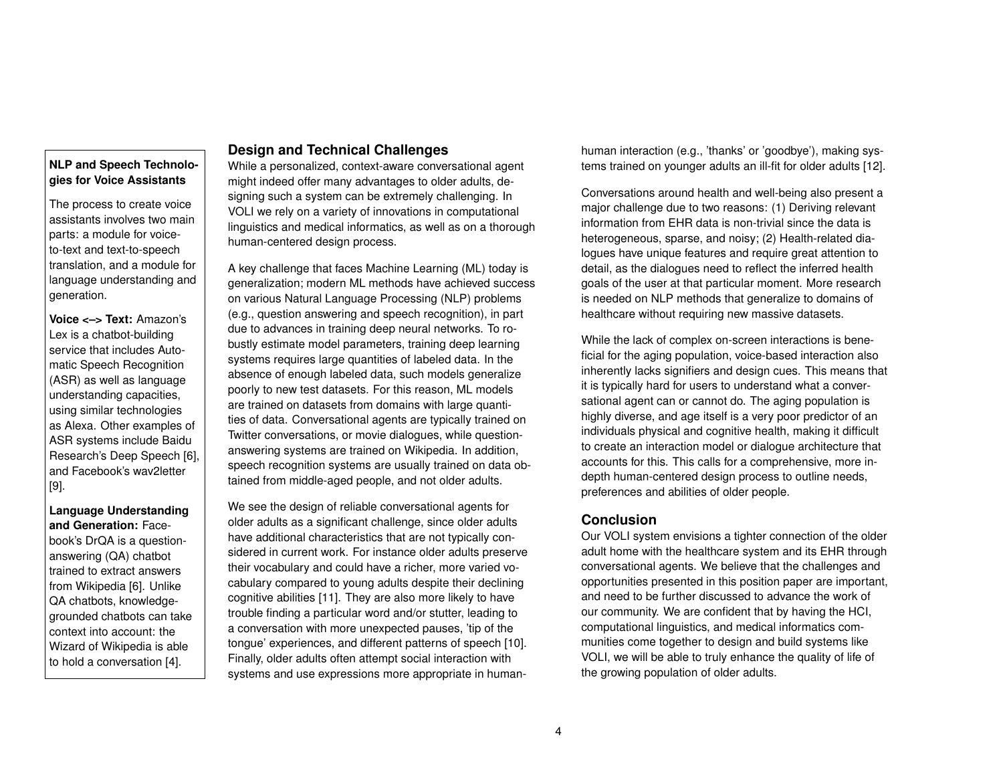# **NLP and Speech Technologies for Voice Assistants**

The process to create voice assistants involves two main parts: a module for voiceto-text and text-to-speech translation, and a module for language understanding and generation.

**Voice <–> Text:** Amazon's Lex is a chatbot-building service that includes Automatic Speech Recognition (ASR) as well as language understanding capacities, using similar technologies as Alexa. Other examples of ASR systems include Baidu Research's Deep Speech [\[6\]](#page-4-8), and Facebook's wav2letter [\[9\]](#page-4-9).

**Language Understanding and Generation:** Facebook's DrQA is a questionanswering (QA) chatbot trained to extract answers from Wikipedia [\[6\]](#page-4-8). Unlike QA chatbots, knowledgegrounded chatbots can take context into account: the Wizard of Wikipedia is able to hold a conversation [\[4\]](#page-4-10).

# **Design and Technical Challenges**

While a personalized, context-aware conversational agent might indeed offer many advantages to older adults, designing such a system can be extremely challenging. In VOLI we rely on a variety of innovations in computational linguistics and medical informatics, as well as on a thorough human-centered design process.

A key challenge that faces Machine Learning (ML) today is generalization; modern ML methods have achieved success on various Natural Language Processing (NLP) problems (e.g., question answering and speech recognition), in part due to advances in training deep neural networks. To robustly estimate model parameters, training deep learning systems requires large quantities of labeled data. In the absence of enough labeled data, such models generalize poorly to new test datasets. For this reason, ML models are trained on datasets from domains with large quantities of data. Conversational agents are typically trained on Twitter conversations, or movie dialogues, while questionanswering systems are trained on Wikipedia. In addition, speech recognition systems are usually trained on data obtained from middle-aged people, and not older adults.

We see the design of reliable conversational agents for older adults as a significant challenge, since older adults have additional characteristics that are not typically considered in current work. For instance older adults preserve their vocabulary and could have a richer, more varied vocabulary compared to young adults despite their declining cognitive abilities [\[11\]](#page-4-11). They are also more likely to have trouble finding a particular word and/or stutter, leading to a conversation with more unexpected pauses, 'tip of the tongue' experiences, and different patterns of speech [\[10\]](#page-4-12). Finally, older adults often attempt social interaction with systems and use expressions more appropriate in humanhuman interaction (e.g., 'thanks' or 'goodbye'), making systems trained on younger adults an ill-fit for older adults [\[12\]](#page-4-13).

Conversations around health and well-being also present a major challenge due to two reasons: (1) Deriving relevant information from EHR data is non-trivial since the data is heterogeneous, sparse, and noisy; (2) Health-related dialogues have unique features and require great attention to detail, as the dialogues need to reflect the inferred health goals of the user at that particular moment. More research is needed on NLP methods that generalize to domains of healthcare without requiring new massive datasets.

While the lack of complex on-screen interactions is beneficial for the aging population, voice-based interaction also inherently lacks signifiers and design cues. This means that it is typically hard for users to understand what a conversational agent can or cannot do. The aging population is highly diverse, and age itself is a very poor predictor of an individuals physical and cognitive health, making it difficult to create an interaction model or dialogue architecture that accounts for this. This calls for a comprehensive, more indepth human-centered design process to outline needs, preferences and abilities of older people.

# **Conclusion**

Our VOLI system envisions a tighter connection of the older adult home with the healthcare system and its EHR through conversational agents. We believe that the challenges and opportunities presented in this position paper are important, and need to be further discussed to advance the work of our community. We are confident that by having the HCI, computational linguistics, and medical informatics communities come together to design and build systems like VOLI, we will be able to truly enhance the quality of life of the growing population of older adults.